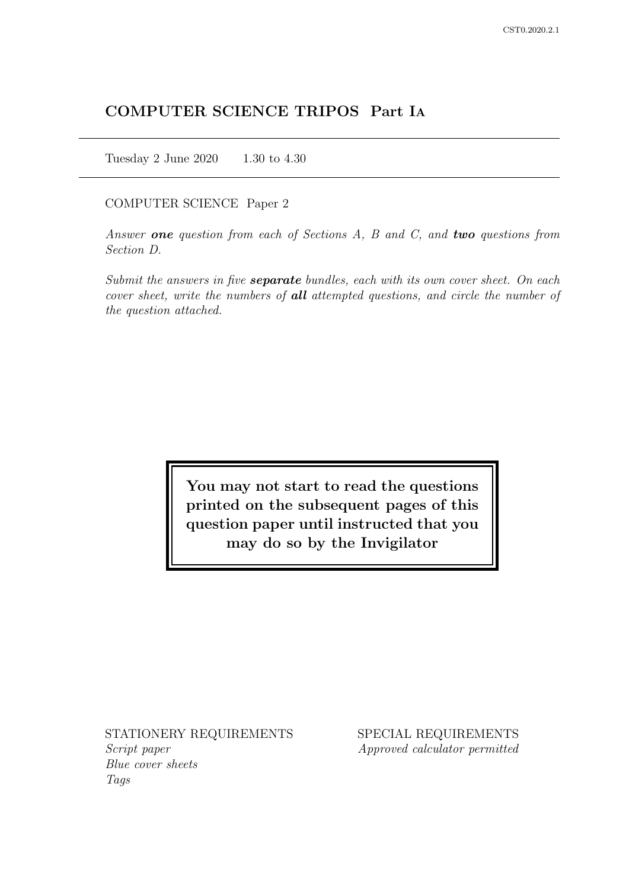# COMPUTER SCIENCE TRIPOS Part IA

Tuesday 2 June 2020 1.30 to 4.30

#### COMPUTER SCIENCE Paper 2

Answer one question from each of Sections  $A$ ,  $B$  and  $C$ , and two questions from Section D.

Submit the answers in five **separate** bundles, each with its own cover sheet. On each cover sheet, write the numbers of **all** attempted questions, and circle the number of the question attached.

> You may not start to read the questions printed on the subsequent pages of this question paper until instructed that you may do so by the Invigilator

STATIONERY REQUIREMENTS Script paper

Blue cover sheets Tags

SPECIAL REQUIREMENTS Approved calculator permitted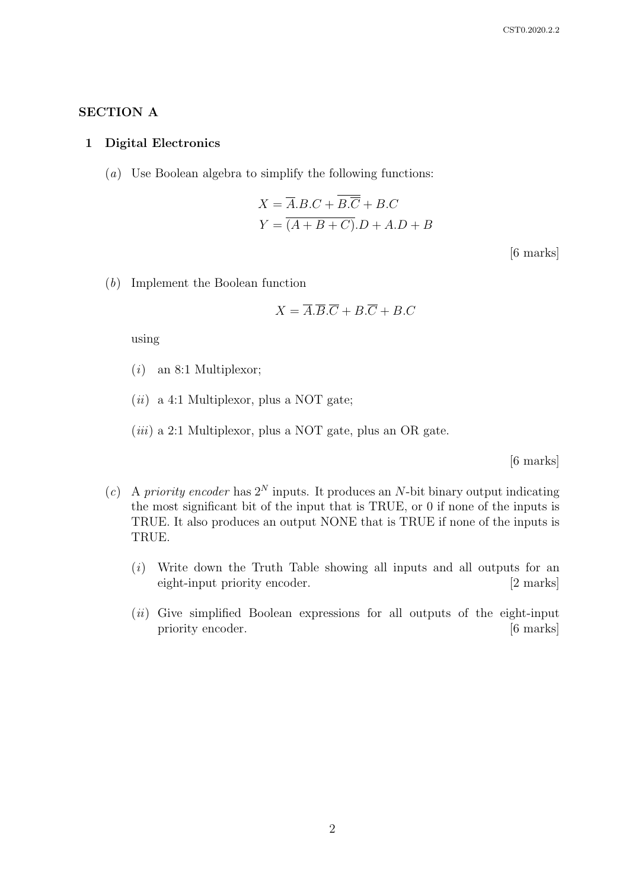## SECTION A

#### 1 Digital Electronics

(a) Use Boolean algebra to simplify the following functions:

$$
X = \overline{A}.B.C + B.\overline{C} + B.C
$$

$$
Y = \overline{(A + B + C)}.D + A.D + B
$$

[6 marks]

(b) Implement the Boolean function

$$
X = \overline{A}.\overline{B}.\overline{C} + B.\overline{C} + B.C
$$

using

- $(i)$  an 8:1 Multiplexor;
- $(ii)$  a 4:1 Multiplexor, plus a NOT gate;
- $(iii)$  a 2:1 Multiplexor, plus a NOT gate, plus an OR gate.

[6 marks]

- (c) A priority encoder has  $2^N$  inputs. It produces an N-bit binary output indicating the most significant bit of the input that is TRUE, or 0 if none of the inputs is TRUE. It also produces an output NONE that is TRUE if none of the inputs is TRUE.
	- (i) Write down the Truth Table showing all inputs and all outputs for an eight-input priority encoder. [2 marks]
	- $(ii)$  Give simplified Boolean expressions for all outputs of the eight-input priority encoder. [6 marks]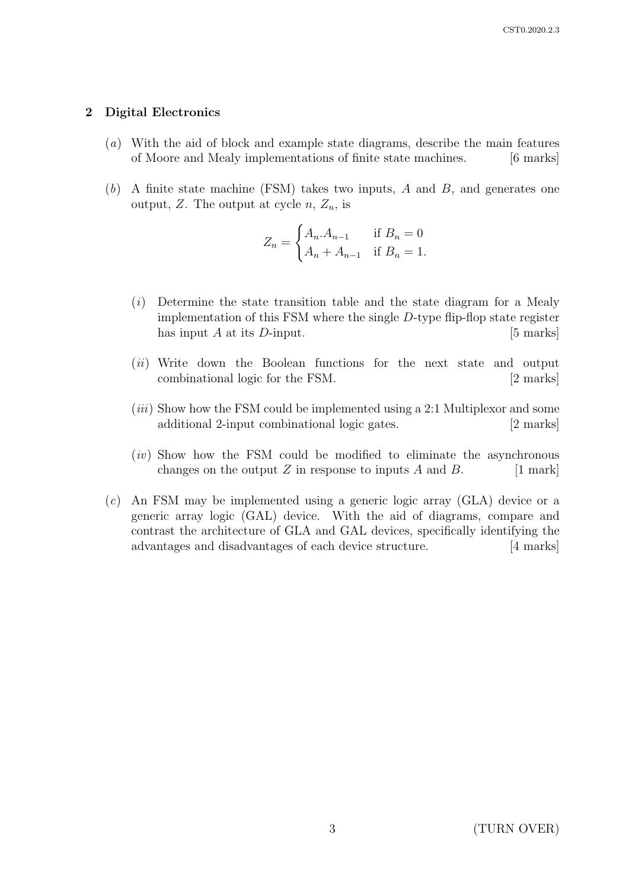#### 2 Digital Electronics

- (a) With the aid of block and example state diagrams, describe the main features of Moore and Mealy implementations of finite state machines. [6 marks]
- $(b)$  A finite state machine (FSM) takes two inputs, A and B, and generates one output, Z. The output at cycle  $n, Z_n$ , is

$$
Z_n = \begin{cases} A_n.A_{n-1} & \text{if } B_n = 0\\ A_n + A_{n-1} & \text{if } B_n = 1. \end{cases}
$$

- (i) Determine the state transition table and the state diagram for a Mealy implementation of this FSM where the single D-type flip-flop state register has input  $A$  at its  $D$ -input. [5 marks]
- (*ii*) Write down the Boolean functions for the next state and output combinational logic for the FSM. [2 marks]
- $(iii)$  Show how the FSM could be implemented using a 2:1 Multiplexor and some additional 2-input combinational logic gates. [2 marks]
- (iv) Show how the FSM could be modified to eliminate the asynchronous changes on the output  $Z$  in response to inputs  $A$  and  $B$ . [1 mark]
- (c) An FSM may be implemented using a generic logic array (GLA) device or a generic array logic (GAL) device. With the aid of diagrams, compare and contrast the architecture of GLA and GAL devices, specifically identifying the advantages and disadvantages of each device structure. [4 marks]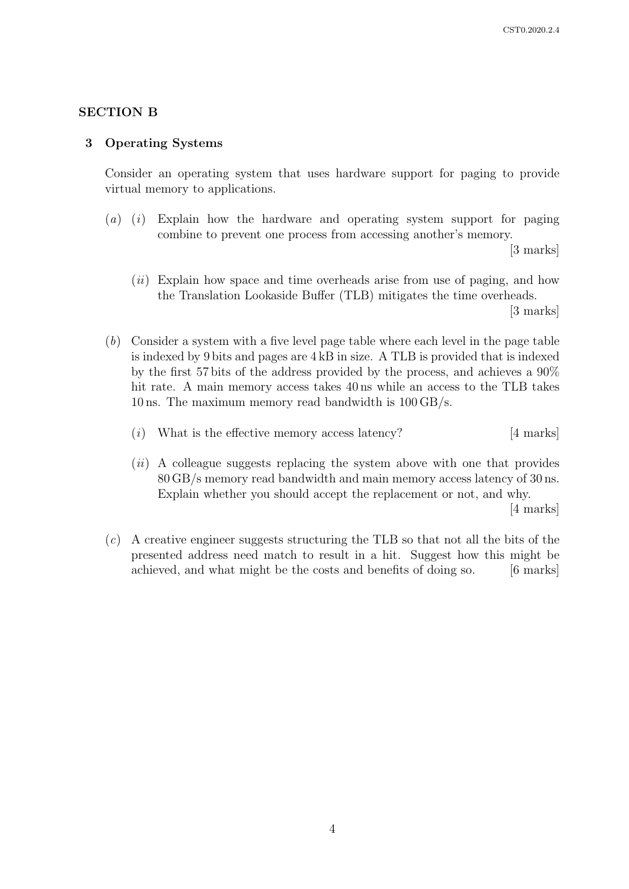### SECTION B

#### 3 Operating Systems

Consider an operating system that uses hardware support for paging to provide virtual memory to applications.

(a) (i) Explain how the hardware and operating system support for paging combine to prevent one process from accessing another's memory.

[3 marks]

 $(ii)$  Explain how space and time overheads arise from use of paging, and how the Translation Lookaside Buffer (TLB) mitigates the time overheads.

[3 marks]

- (b) Consider a system with a five level page table where each level in the page table is indexed by 9 bits and pages are 4 kB in size. A TLB is provided that is indexed by the first 57 bits of the address provided by the process, and achieves a 90% hit rate. A main memory access takes 40 ns while an access to the TLB takes 10 ns. The maximum memory read bandwidth is 100 GB/s.
	- (i) What is the effective memory access latency?  $[4 \text{ marks}]$
	- $(ii)$  A colleague suggests replacing the system above with one that provides 80 GB/s memory read bandwidth and main memory access latency of 30 ns. Explain whether you should accept the replacement or not, and why.

[4 marks]

(c) A creative engineer suggests structuring the TLB so that not all the bits of the presented address need match to result in a hit. Suggest how this might be achieved, and what might be the costs and benefits of doing so. [6 marks]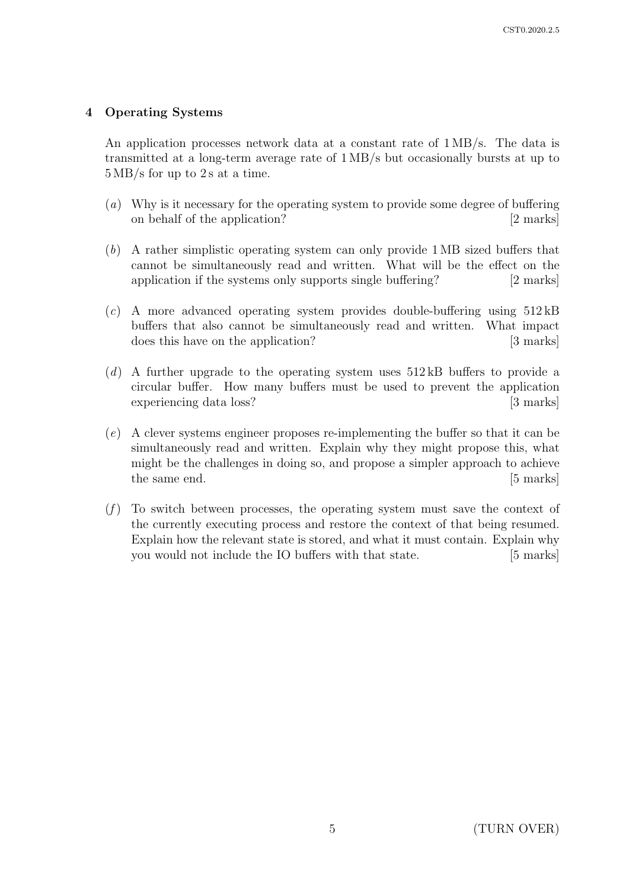## 4 Operating Systems

An application processes network data at a constant rate of 1 MB/s. The data is transmitted at a long-term average rate of 1 MB/s but occasionally bursts at up to 5 MB/s for up to 2 s at a time.

- (a) Why is it necessary for the operating system to provide some degree of buffering on behalf of the application? [2 marks]
- (b) A rather simplistic operating system can only provide 1 MB sized buffers that cannot be simultaneously read and written. What will be the effect on the application if the systems only supports single buffering? [2 marks]
- (c) A more advanced operating system provides double-buffering using 512 kB buffers that also cannot be simultaneously read and written. What impact does this have on the application? [3 marks]
- (d) A further upgrade to the operating system uses  $512 \text{ kB}$  buffers to provide a circular buffer. How many buffers must be used to prevent the application experiencing data loss? [3 marks]
- (e) A clever systems engineer proposes re-implementing the buffer so that it can be simultaneously read and written. Explain why they might propose this, what might be the challenges in doing so, and propose a simpler approach to achieve the same end. [5 marks]
- $(f)$  To switch between processes, the operating system must save the context of the currently executing process and restore the context of that being resumed. Explain how the relevant state is stored, and what it must contain. Explain why you would not include the IO buffers with that state. [5 marks]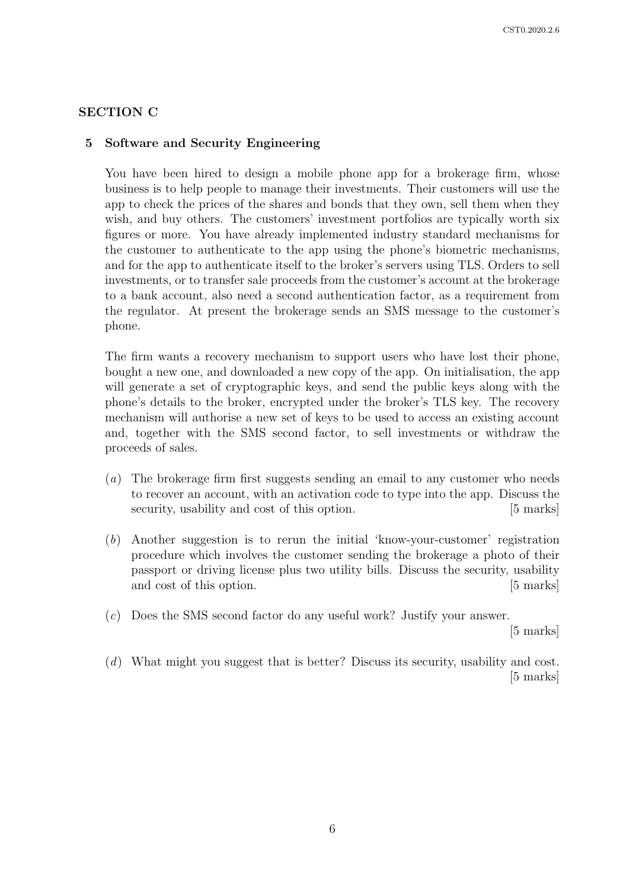### SECTION C

#### 5 Software and Security Engineering

You have been hired to design a mobile phone app for a brokerage firm, whose business is to help people to manage their investments. Their customers will use the app to check the prices of the shares and bonds that they own, sell them when they wish, and buy others. The customers' investment portfolios are typically worth six figures or more. You have already implemented industry standard mechanisms for the customer to authenticate to the app using the phone's biometric mechanisms, and for the app to authenticate itself to the broker's servers using TLS. Orders to sell investments, or to transfer sale proceeds from the customer's account at the brokerage to a bank account, also need a second authentication factor, as a requirement from the regulator. At present the brokerage sends an SMS message to the customer's phone.

The firm wants a recovery mechanism to support users who have lost their phone, bought a new one, and downloaded a new copy of the app. On initialisation, the app will generate a set of cryptographic keys, and send the public keys along with the phone's details to the broker, encrypted under the broker's TLS key. The recovery mechanism will authorise a new set of keys to be used to access an existing account and, together with the SMS second factor, to sell investments or withdraw the proceeds of sales.

- (a) The brokerage firm first suggests sending an email to any customer who needs to recover an account, with an activation code to type into the app. Discuss the security, usability and cost of this option. [5 marks]
- (b) Another suggestion is to rerun the initial 'know-your-customer' registration procedure which involves the customer sending the brokerage a photo of their passport or driving license plus two utility bills. Discuss the security, usability and cost of this option. [5 marks]
- (c) Does the SMS second factor do any useful work? Justify your answer.

[5 marks]

(d) What might you suggest that is better? Discuss its security, usability and cost. [5 marks]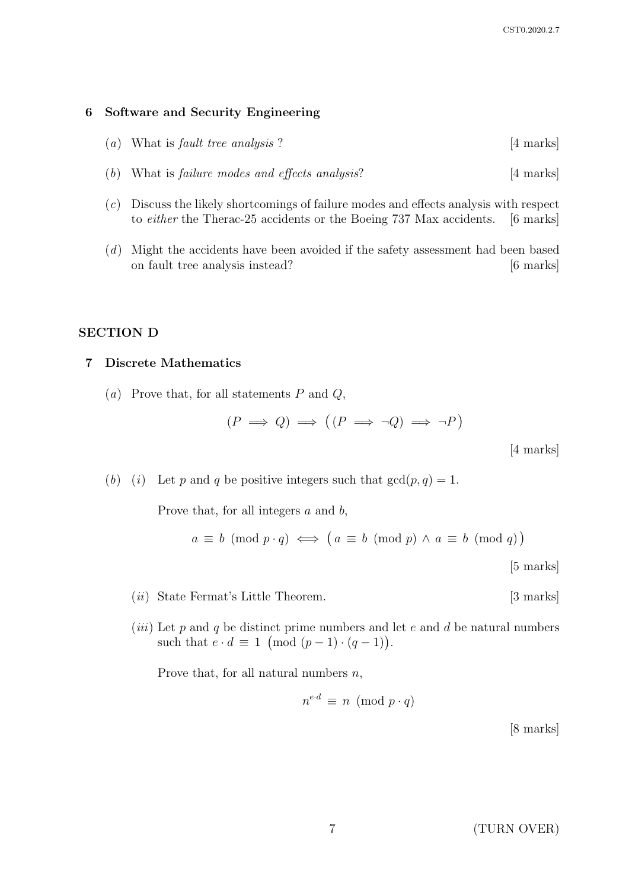#### 6 Software and Security Engineering

- (a) What is fault tree analysis ?  $[4 \text{ marks}]$
- (b) What is *failure modes and effects analysis*?  $[4 \text{ marks}]$
- (c) Discuss the likely shortcomings of failure modes and effects analysis with respect to either the Therac-25 accidents or the Boeing 737 Max accidents. [6 marks]
- (d) Might the accidents have been avoided if the safety assessment had been based on fault tree analysis instead? [6 marks]

#### SECTION D

#### 7 Discrete Mathematics

(a) Prove that, for all statements  $P$  and  $Q$ ,

$$
(P \implies Q) \implies ((P \implies \neg Q) \implies \neg P)
$$

[4 marks]

(b) (i) Let p and q be positive integers such that  $gcd(p, q) = 1$ .

Prove that, for all integers  $a$  and  $b$ ,

$$
a \equiv b \pmod{p \cdot q} \iff \left( a \equiv b \pmod{p} \land a \equiv b \pmod{q} \right)
$$
\n[5 marks]

- (*ii*) State Fermat's Little Theorem. [3 marks]
- (*iii*) Let p and q be distinct prime numbers and let e and d be natural numbers such that  $e \cdot d \equiv 1 \pmod{(p-1) \cdot (q-1)}$ .

Prove that, for all natural numbers  $n$ ,

$$
n^{e \cdot d} \equiv n \pmod{p \cdot q}
$$

[8 marks]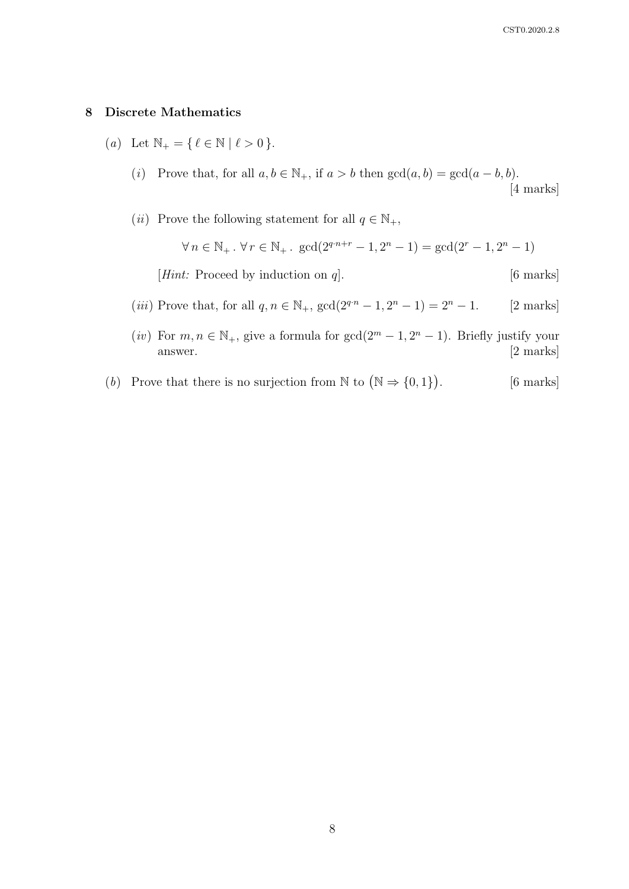#### 8 Discrete Mathematics

- (a) Let  $\mathbb{N}_+ = \{ \, \ell \in \mathbb{N} \mid \ell > 0 \, \}.$ 
	- (i) Prove that, for all  $a, b \in \mathbb{N}_+$ , if  $a > b$  then  $gcd(a, b) = gcd(a b, b)$ . [4 marks]
	- (*ii*) Prove the following statement for all  $q\in\mathbb{N}_+,$

$$
\forall n \in \mathbb{N}_+ \,.\, \forall r \in \mathbb{N}_+ \,.\,\, \gcd(2^{q \cdot n + r} - 1, 2^n - 1) = \gcd(2^r - 1, 2^n - 1)
$$

[*Hint*: Proceed by induction on q]. [6 marks]

- (*iii*) Prove that, for all  $q, n \in \mathbb{N}_+$ ,  $gcd(2^{q \cdot n} 1, 2^n 1) = 2^n 1$ . [2 marks]
- (*iv*) For  $m, n \in \mathbb{N}_+$ , give a formula for  $gcd(2^m 1, 2^n 1)$ . Briefly justify your answer. [2 marks]
- (b) Prove that there is no surjection from  $\mathbb N$  to  $(\mathbb N \Rightarrow \{0,1\})$ [6 marks]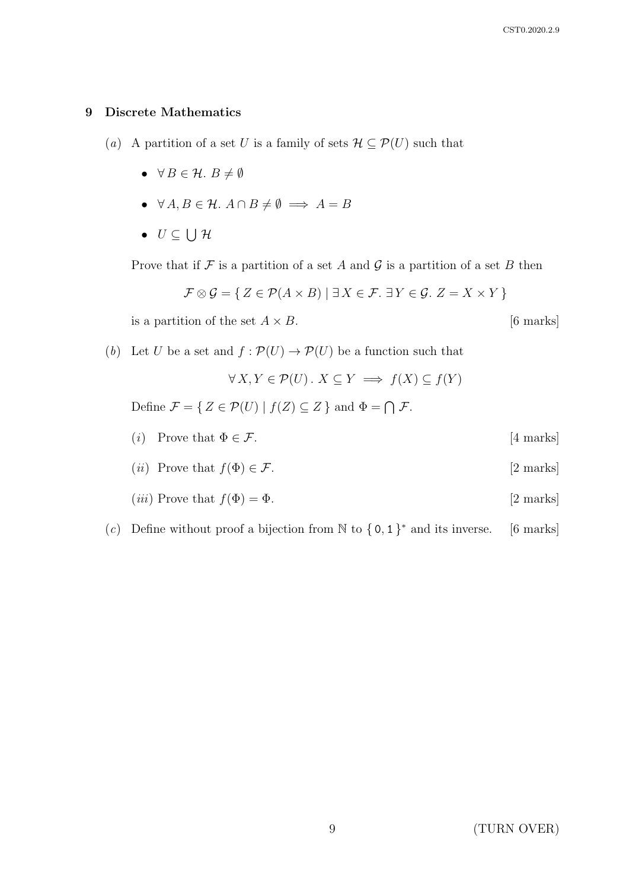#### 9 Discrete Mathematics

- (a) A partition of a set U is a family of sets  $\mathcal{H} \subseteq \mathcal{P}(U)$  such that
	- $\forall B \in \mathcal{H}$ .  $B \neq \emptyset$
	- $\forall A, B \in \mathcal{H}$ .  $A \cap B \neq \emptyset \implies A = B$
	- $\bullet\ \ U\subseteq\bigcup\mathcal{H}$

Prove that if  $\mathcal F$  is a partition of a set A and  $\mathcal G$  is a partition of a set B then

$$
\mathcal{F} \otimes \mathcal{G} = \{ Z \in \mathcal{P}(A \times B) \mid \exists X \in \mathcal{F}.\ \exists Y \in \mathcal{G}.\ Z = X \times Y \}
$$

is a partition of the set  $A \times B$ . [6 marks]

(b) Let U be a set and  $f : \mathcal{P}(U) \to \mathcal{P}(U)$  be a function such that

$$
\forall X, Y \in \mathcal{P}(U) \,.\ X \subseteq Y \implies f(X) \subseteq f(Y)
$$

Define  $\mathcal{F} = \{ Z \in \mathcal{P}(U) \mid f(Z) \subseteq Z \}$  and  $\Phi = \bigcap \mathcal{F}$ .

- (*i*) Prove that  $\Phi \in \mathcal{F}$ . [4 marks]
- (*ii*) Prove that  $f(\Phi) \in \mathcal{F}$ . [2 marks]
- (*iii*) Prove that  $f(\Phi) = \Phi$ . [2 marks]
- (c) Define without proof a bijection from  $\mathbb N$  to  $\{0,1\}^*$  and its inverse. [6 marks]